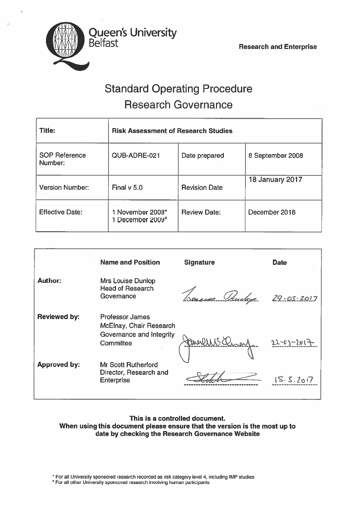

# Standard Operating Procedure Research Governance

| <b>Title:</b>                   | <b>Risk Assessment of Research Studies</b>       |                      |                        |
|---------------------------------|--------------------------------------------------|----------------------|------------------------|
| <b>SOP Reference</b><br>Number: | QUB-ADRE-021                                     | Date prepared        | 8 September 2008       |
| <b>Version Number:</b>          | Final $v$ 5.0                                    | <b>Revision Date</b> | <b>18 January 2017</b> |
| <b>Effective Date:</b>          | 1 November 2008*<br>1 December 2009 <sup>#</sup> | <b>Review Date:</b>  | December 2018          |

|                     | <b>Name and Position</b>                                                                   | <b>Signature</b> | <b>Date</b>      |
|---------------------|--------------------------------------------------------------------------------------------|------------------|------------------|
| <b>Author:</b>      | <b>Mrs Louise Dunlop</b><br><b>Head of Research</b><br>Governance                          | ue Obusky        | $29 - 03 - 2017$ |
| Reviewed by:        | <b>Professor James</b><br>McElnay, Chair Research<br>Governance and Integrity<br>Committee | art Charles      | $22 - 03 - 20$   |
| <b>Approved by:</b> | <b>Mr Scott Rutherford</b><br>Director, Research and<br><b>Enterprise</b>                  |                  | IS.5.2017        |

# This is <sup>a</sup> controlled document. When using this document please ensure that the version is the most up to date by checking the Research Governance Website

\* For all University sponsored research recorded as risk category level 4, including IMP studies

For all other University sponsored research involving human participants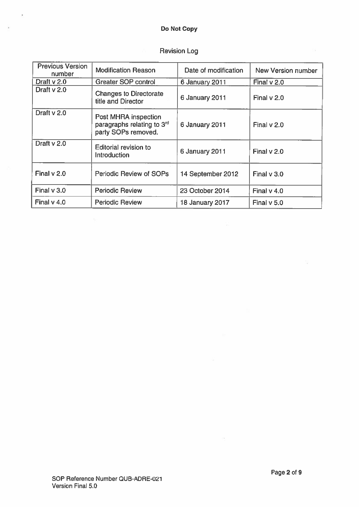# Do Not Copy

×.

 $\hat{\mathbf{h}}$ 

| <b>Previous Version</b><br>number | <b>Modification Reason</b>                                                            | Date of modification   | New Version number |
|-----------------------------------|---------------------------------------------------------------------------------------|------------------------|--------------------|
| Draft $v$ 2.0                     | Greater SOP control                                                                   | 6 January 2011         | Final $v$ 2.0      |
| Draft $v$ 2.0                     | <b>Changes to Directorate</b><br>title and Director                                   | 6 January 2011         | Final $v$ 2.0      |
| Draft v 2.0                       | Post MHRA inspection<br>paragraphs relating to 3 <sup>rd</sup><br>party SOPs removed. | 6 January 2011         | Final $v$ 2.0      |
| Draft v 2.0                       | Editorial revision to<br>Introduction                                                 | 6 January 2011         | Final $v$ 2.0      |
| Final $v$ 2.0                     | Periodic Review of SOPs                                                               | 14 September 2012      | Final v 3.0        |
| Final v 3.0                       | <b>Periodic Review</b>                                                                | 23 October 2014        | Final $v$ 4.0      |
| Final $v$ 4.0                     | <b>Periodic Review</b>                                                                | <b>18 January 2017</b> | Final v 5.0        |

# Revision Log

 $\bar{\rm g}$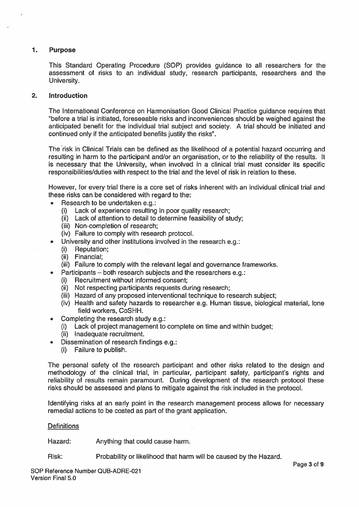# 1. Purpose

This Standard Operating Procedure (SOP) provides guidance to all researchers for the assessment of risks to an individual study, research participants, researchers and the University.

# 2. Introduction

The International Conference on Harmonisation Good Clinical Practice guidance requires that 'before <sup>a</sup> trial is initiated, foreseeable risks and inconveniences should be weighed against the anticipated benefit for the individual trial subject and society. A trial should be initiated and continued only if the anticipated benefits justify the risks".

The risk in Clinical Trials can be defined as the likelihood of <sup>a</sup> potential hazard occurring and resulting in harm to the participant and/or an organisation, or to the reliability of the results. It is necessary that the University, when involved in <sup>a</sup> clinical trial must consider its specific responsibilities/duties with respec<sup>t</sup> to the trial and the level of risk in relation to these.

However, for every trial there is <sup>a</sup> core set of risks inherent with an individual clinical trial and these risks can be considered with regard to the:

- • Research to be undertaken e.g.:
	- (i) Lack of experience resulting in poor quality research;
	- (ii) Lack of attention to detail to determine feasibility of study:
	- (iii) Non-completion of research;
	- (iv) Failure to comply with research protocol.
- • University and other institutions involved in the research e.g.:
	- (i) Reputation;
	- (ii) Financial;

•

- (iii) Failure to comply with the relevant legal and governance frameworks.
- Participants both research subjects and the researchers e.g.:
- (i) Recruitment without informed consent;
- (ii) Not respecting participants requests during research;
- (iii) Hazard of any proposed interventional technique to research subject;
- (iv) Health and safety hazards to researcher e.g. Human tissue, biological material, lone field workers, CoSHH.
- • Completing the research study e.g.:
	- (i) Lack of project managemen<sup>t</sup> to complete on time and within budget;
	- (ii) Inadequate recruitment.
- • Dissemination of research findings e.g.:
	- (i) Failure to publish.

The personal safety of the research participant and other risks related to the design and methodology of the clinical trial, in particular, participant safety, participant's rights and reliability of results remain paramount. During development of the research protocol these risks should be assessed and plans to mitigate against the risk included in the protocol.

Identifying risks at an early point in the research managemen<sup>t</sup> process allows for necessary remedial actions to be costed as par<sup>t</sup> of the gran<sup>t</sup> application.

# **Definitions**

Hazard: Anything that could cause harm.

Risk: Probability or likelihood that harm will be caused by the Hazard.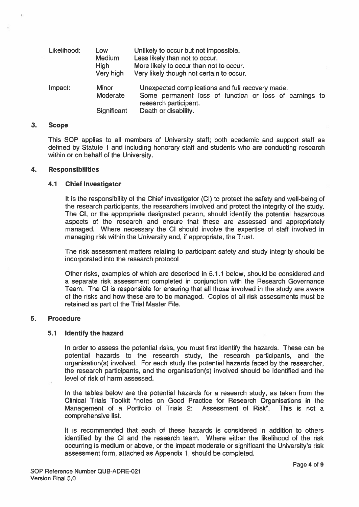| Likelihood: | Low<br><b>Medium</b><br><b>High</b><br>Very high | Unlikely to occur but not impossible.<br>Less likely than not to occur.<br>More likely to occur than not to occur.<br>Very likely though not certain to occur. |  |
|-------------|--------------------------------------------------|----------------------------------------------------------------------------------------------------------------------------------------------------------------|--|
| Impact:     | <b>Minor</b><br>Moderate<br><b>Significant</b>   | Unexpected complications and full recovery made.<br>Some permanent loss of function or loss of earnings to<br>research participant.<br>Death or disability.    |  |

#### 3. Scope

This SOP applies to all members of University staff; both academic and suppor<sup>t</sup> staff as defined by Statute 1 and including honorary staff and students who are conducting research within or on behalf of the University.

#### 4. Responsibilities

# 4.1 Chief Investigator

It is the responsibility of the Chief Investigator (Cl) to protect the safety and well-being of the research participants, the researchers involved and protect the integrity of the study. The Cl, or the appropriate designated person, should identify the potential hazardous aspects of the research and ensure that these are assessed and appropriately managed. Where necessary the Cl should involve the expertise of staff involved in managing risk within the University and, if appropriate, the Trust.

The risk assessment matters relating to participant safety and study integrity should be incorporated into the research protocol

Other risks, examples of which are described in 5.1.1 below, should be considered and <sup>a</sup> separate risk assessment completed in conjunction with the Research Governance Team. The Cl is responsible for ensuring that all those involved in the study are aware of the risks and how these are to be managed. Copies of all risk assessments must be retained as par<sup>t</sup> of the Trial Master File.

# 5. Procedure

# 5.1 Identify the hazard

In order to assess the potential risks, you must first identify the hazards. These can be potential hazards to the research study, the research participants, and the organisation(s) involved. For each study the potential hazards faced by the researcher, the research participants, and the organisation(s) involved should be identified and the level of risk of harm assessed.

In the tables below are the potential hazards for <sup>a</sup> research study, as taken from the Clinical Trials Toolkit "notes on Good Practice for Research Organisations in the Management of <sup>a</sup> Portfolio of Trials 2: Assessment of Risk". This is not <sup>a</sup> comprehensive list.

It is recommended that each of these hazards is considered in addition to others identified by the Cl and the research team. Where either the likelihood of the risk occurring is medium or above, or the impact moderate or significant the University's risk assessment form, attached as Appendix 1, should be completed.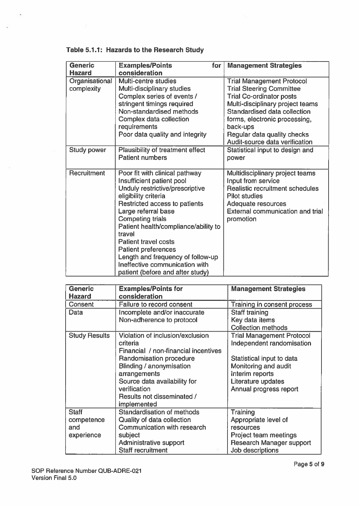| <b>Generic</b>               | <b>Examples/Points</b><br>for                                                                                                                                                                                                                                                                                                                                                                                                       | <b>Management Strategies</b>                                                                                                                                                                                            |
|------------------------------|-------------------------------------------------------------------------------------------------------------------------------------------------------------------------------------------------------------------------------------------------------------------------------------------------------------------------------------------------------------------------------------------------------------------------------------|-------------------------------------------------------------------------------------------------------------------------------------------------------------------------------------------------------------------------|
| <b>Hazard</b>                | consideration                                                                                                                                                                                                                                                                                                                                                                                                                       |                                                                                                                                                                                                                         |
| Organisational<br>complexity | Multi-centre studies<br>Multi-disciplinary studies<br>Complex series of events /<br>stringent timings required<br>Non-standardised methods<br>Complex data collection<br>requirements                                                                                                                                                                                                                                               | <b>Trial Management Protocol</b><br><b>Trial Steering Committee</b><br><b>Trial Co-ordinator posts</b><br>Multi-disciplinary project teams<br>Standardised data collection<br>forms, electronic processing,<br>back-ups |
|                              | Poor data quality and integrity                                                                                                                                                                                                                                                                                                                                                                                                     | Regular data quality checks<br>Audit-source data verification                                                                                                                                                           |
| Study power                  | Plausibility of treatment effect<br><b>Patient numbers</b>                                                                                                                                                                                                                                                                                                                                                                          | Statistical input to design and<br>power                                                                                                                                                                                |
| Recruitment                  | Poor fit with clinical pathway<br>Insufficient patient pool<br>Unduly restrictive/prescriptive<br>eligibility criteria<br>Restricted access to patients<br>Large referral base<br><b>Competing trials</b><br>Patient health/compliance/ability to<br>travel<br><b>Patient travel costs</b><br><b>Patient preferences</b><br>Length and frequency of follow-up<br>Ineffective communication with<br>patient (before and after study) | Multidisciplinary project teams<br>Input from service<br>Realistic recruitment schedules<br><b>Pilot studies</b><br>Adequate resources<br><b>External communication and trial</b><br>promotion                          |

# Table 5.1.1: Hazards to the Research Study

 $\sim$ 

o g

 $\bar{\alpha}$ 

| <b>Generic</b><br><b>Hazard</b> | <b>Examples/Points for</b><br>consideration | <b>Management Strategies</b>     |
|---------------------------------|---------------------------------------------|----------------------------------|
| Consent                         | Failure to record consent                   | Training in consent process      |
| Data                            | Incomplete and/or inaccurate                | Staff training                   |
|                                 | Non-adherence to protocol                   | Key data items                   |
|                                 |                                             | <b>Collection methods</b>        |
| <b>Study Results</b>            | Violation of inclusion/exclusion            | <b>Trial Management Protocol</b> |
|                                 | criteria                                    | Independent randomisation        |
|                                 | Financial / non-financial incentives        |                                  |
|                                 | Randomisation procedure                     | Statistical input to data        |
|                                 | Blinding / anonymisation                    | Monitoring and audit             |
|                                 | arrangements                                | Interim reports                  |
|                                 | Source data availability for                | Literature updates               |
|                                 | verification                                | Annual progress report           |
|                                 | Results not disseminated /                  |                                  |
|                                 | implemented                                 |                                  |
| <b>Staff</b>                    | Standardisation of methods                  | Training                         |
| competence                      | Quality of data collection                  | Appropriate level of             |
| and                             | Communication with research                 | resources                        |
| experience                      | subject                                     | Project team meetings            |
|                                 | Administrative support                      | <b>Research Manager support</b>  |
|                                 | <b>Staff recruitment</b>                    | Job descriptions                 |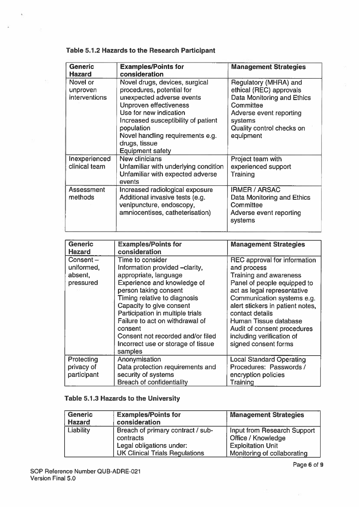| <b>Generic</b><br><b>Hazard</b>       | <b>Examples/Points for</b><br>consideration                                                                                                                                                                                                                                              | <b>Management Strategies</b>                                                                                                                                                |
|---------------------------------------|------------------------------------------------------------------------------------------------------------------------------------------------------------------------------------------------------------------------------------------------------------------------------------------|-----------------------------------------------------------------------------------------------------------------------------------------------------------------------------|
| Novel or<br>unproven<br>interventions | Novel drugs, devices, surgical<br>procedures, potential for<br>unexpected adverse events<br><b>Unproven effectiveness</b><br>Use for new indication<br>Increased susceptibility of patient<br>population<br>Novel handling requirements e.g.<br>drugs, tissue<br><b>Equipment safety</b> | Regulatory (MHRA) and<br>ethical (REC) approvals<br>Data Monitoring and Ethics<br>Committee<br>Adverse event reporting<br>systems<br>Quality control checks on<br>equipment |
| Inexperienced<br>clinical team        | New clinicians<br>Unfamiliar with underlying condition<br>Unfamiliar with expected adverse<br>events                                                                                                                                                                                     | Project team with<br>experienced support<br>Training                                                                                                                        |
| <b>Assessment</b><br>methods          | Increased radiological exposure<br>Additional invasive tests (e.g.<br>venipuncture, endoscopy,<br>amniocentises, catheterisation)                                                                                                                                                        | <b>IRMER / ARSAC</b><br>Data Monitoring and Ethics<br>Committee<br>Adverse event reporting<br>systems                                                                       |

# Table 5.1.2 Hazards to the Research Participant

 $\sim$ 

| <b>Generic</b><br><b>Hazard</b>                   | <b>Examples/Points for</b><br>consideration                                                                                                                                                                                                                                                                                                                             | <b>Management Strategies</b>                                                                                                                                                                                                                                                                                                          |
|---------------------------------------------------|-------------------------------------------------------------------------------------------------------------------------------------------------------------------------------------------------------------------------------------------------------------------------------------------------------------------------------------------------------------------------|---------------------------------------------------------------------------------------------------------------------------------------------------------------------------------------------------------------------------------------------------------------------------------------------------------------------------------------|
| Consent $-$<br>uniformed,<br>absent,<br>pressured | Time to consider<br>Information provided -clarity,<br>appropriate, language<br>Experience and knowledge of<br>person taking consent<br>Timing relative to diagnosis<br>Capacity to give consent<br>Participation in multiple trials<br>Failure to act on withdrawal of<br>consent<br>Consent not recorded and/or filed<br>Incorrect use or storage of tissue<br>samples | REC approval for information<br>and process<br>Training and awareness<br>Panel of people equipped to<br>act as legal representative<br>Communication systems e.g.<br>alert stickers in patient notes,<br>contact details<br>Human Tissue database<br>Audit of consent procedures<br>including verification of<br>signed consent forms |
| Protecting<br>privacy of<br>participant           | Anonymisation<br>Data protection requirements and<br>security of systems<br><b>Breach of confidentiality</b>                                                                                                                                                                                                                                                            | <b>Local Standard Operating</b><br>Procedures: Passwords /<br>encryption policies<br>Training                                                                                                                                                                                                                                         |

# Table 5.1.3 Hazards to the University

| <b>Generic</b> | <b>Examples/Points for</b>            | <b>Management Strategies</b> |
|----------------|---------------------------------------|------------------------------|
| <b>Hazard</b>  | consideration                         |                              |
| Liability      | Breach of primary contract / sub-     | Input from Research Support  |
|                | contracts                             | <b>Office / Knowledge</b>    |
|                | Legal obligations under:              | <b>Exploitation Unit</b>     |
|                | <b>UK Clinical Trials Regulations</b> | Monitoring of collaborating  |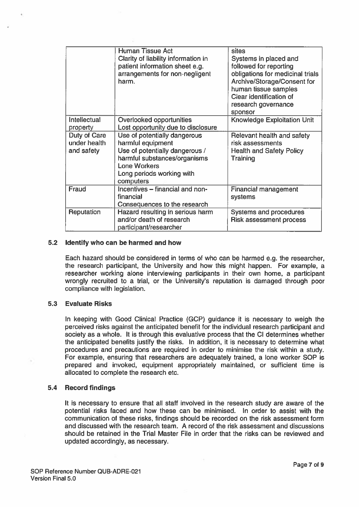|                                            | <b>Human Tissue Act</b><br>Clarity of liability information in<br>patient information sheet e.g.<br>arrangements for non-negligent<br>harm.                                          | sites<br>Systems in placed and<br>followed for reporting<br>obligations for medicinal trials<br>Archive/Storage/Consent for<br>human tissue samples<br>Clear identification of<br>research governance<br>sponsor |
|--------------------------------------------|--------------------------------------------------------------------------------------------------------------------------------------------------------------------------------------|------------------------------------------------------------------------------------------------------------------------------------------------------------------------------------------------------------------|
| Intellectual<br>property                   | Overlooked opportunities<br>Lost opportunity due to disclosure                                                                                                                       | <b>Knowledge Exploitation Unit</b>                                                                                                                                                                               |
| Duty of Care<br>under health<br>and safety | Use of potentially dangerous<br>harmful equipment<br>Use of potentially dangerous /<br>harmful substances/organisms<br><b>Lone Workers</b><br>Long periods working with<br>computers | Relevant health and safety<br>risk assessments<br><b>Health and Safety Policy</b><br>Training                                                                                                                    |
| Fraud                                      | Incentives - financial and non-<br>financial<br>Consequences to the research                                                                                                         | <b>Financial management</b><br>systems                                                                                                                                                                           |
| Reputation                                 | Hazard resulting in serious harm<br>and/or death of research<br>participant/researcher                                                                                               | Systems and procedures<br><b>Risk assessment process</b>                                                                                                                                                         |

# 5.2 Identify who can be harmed and how

Each hazard should be considered in terms of who can be harmed e.g. the researcher, the research participant, the University and how this might happen. For example, <sup>a</sup> researcher working alone interviewing participants in their own home, <sup>a</sup> participant wrongly recruited to <sup>a</sup> trial, or the University's reputation is damaged through poor compliance with legislation.

#### 5.3 Evaluate Risks

In keeping with Good Clinical Practice (GCP) guidance it is necessary to weigh the perceived risks against the anticipated benefit for the individual research participant and society as <sup>a</sup> whole. It is through this evaluative process that the Cl determines whether the anticipated benefits justify the risks. In addition, it is necessary to determine what procedures and precautions are required in order to minimise the risk within <sup>a</sup> study. For example, ensuring that researchers are adequately trained, <sup>a</sup> lone worker SOP is prepared and invoked, equipment appropriately maintained, or sufficient time is allocated to complete the research etc.

#### 5.4 Record findings

It is necessary to ensure that all staff involved in the research study are aware of the potential risks faced and how these can be minimised. In order to assist with the communication of these risks, findings should be recorded on the risk assessment form and discussed with the research team. A record of the risk assessment and discussions should be retained in the Trial Master File in order that the risks can be reviewed and updated accordingly, as necessary.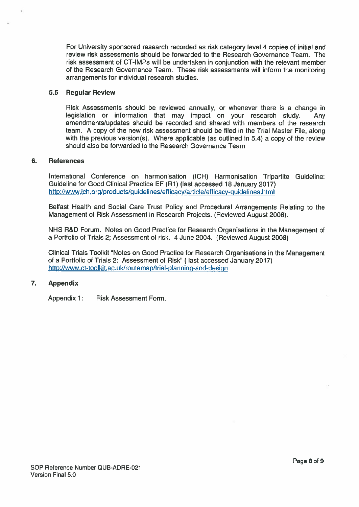For University sponsored research recorded as risk category level 4 copies of initial and review risk assessments should be forwarded to the Research Governance Team. The risk assessment of CT-IMPs will be undertaken in conjunction with the relevant member of the Research Governance Team. These risk assessments will inform the monitoring arrangements for individual research studies.

# 5.5 Regular Review

Risk Assessments should be reviewed annually, or whenever there is <sup>a</sup> change in legislation or information that may impact on your research study. Any amendments/updates should be recorded and shared with members of the research team. A copy of the new risk assessment should be filed in the Trial Master File, along with the previous version(s). Where applicable (as outlined in 5.4) a copy of the review should also be forwarded to the Research Governance Team

# 6. References

International Conference on harmonisation (ICH) Harmonisation Tripartite Guideline: Guideline for Good Clinical Practice EF (Ri) (last accessed 18 January 2017) http://www.ich.org/products/guidelines/efficacy/article/eflicacy-guidelines.html

Belfast Health and Social Care Trust Policy and Procedural Arrangements Relating to the Management of Risk Assessment in Research Projects. (Reviewed August 2008).

NHS R&D Forum. Notes on Good Practice for Research Organisations in the Management of <sup>a</sup> Portfolio of Trials 2; Assessment of risk. 4 June 2004. (Reviewed August 2008)

Clinical Trials Toolkit 'Notes on Good Practice for Research Organisations in the Management of <sup>a</sup> Portfolio of Trials 2: Assessment of Risk" (last accessed January 2017) http://www.ct-toolkit.ac.uk/routemap/trial-planning-and-design

# 7. Appendix

Appendix 1: Risk Assessment Form.